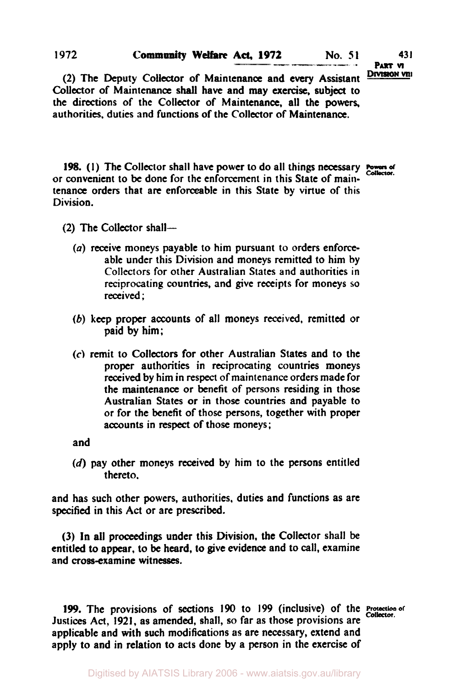#### **Community Welfare Act, 1972 No. 51 431 1972**

**PART VI** 

(2) The Deputy Collector of Maintenance and every Assistant Division vill Collector **of** Maintenance **shall** have and **may** *exercise,* subject **to**  the directions of the Collector of Maintenance, all the **powers,**  authorities. duties and functions **of** the Collector **of** Maintenance.

**198. (1)** The Collector shall have power to do all things necessary *Powers of Collector*  or convenient to **be** done for the enforcement in this State of maintenance orders that are enforceable in this State by virtue of this Division.

- **(2)** The **Collector** shall-
	- *(a)* receive moneys payable **to** him pursuant **to** orders **enforce**able under this Division and moneys remitted **to** him by Collectors for other Australian **States** and authorities in reciprocating countries, and give receipts for moneys so received;
	- *(b)* **keep** proper accounts of all moneys received, remitted or paid **by** him;
	- *(c)* remit **to Collectors** for other Australian States and **to** the proper authorities in reciprocating countries moneys received by him in respect of maintenance orders made for the maintenance or benefit of persons residing in those Australian **States** or in those countries and payable **to**  or for the benefit of those persons, together with proper accounts in respect of those moneys;

and

**(d)** pay other moneys received **by** him **to** the persons entitled thereto.

and has such other powers, authorities, duties and functions as are **specified** in this Act or are prescribed.

(3) ln all proceedings under this Division, **the** Collector shall be entitled **to** appear, to be heard, **to** give evidence and to call, examine and cross-examine witnesses.

**199.** The provisions of sections **190 to 199** (inclusive) of the Protection **of**  *Collector.* Justices Act, **1921,** as amended, shall, so far **as** those provisions are applicable and with such modifications **as** are necessary, extend and apply to and in relation **to** acts done by a **person** in the exercise of

Digitised by AIATSIS Library 2006 - www.aiatsis.gov.au/library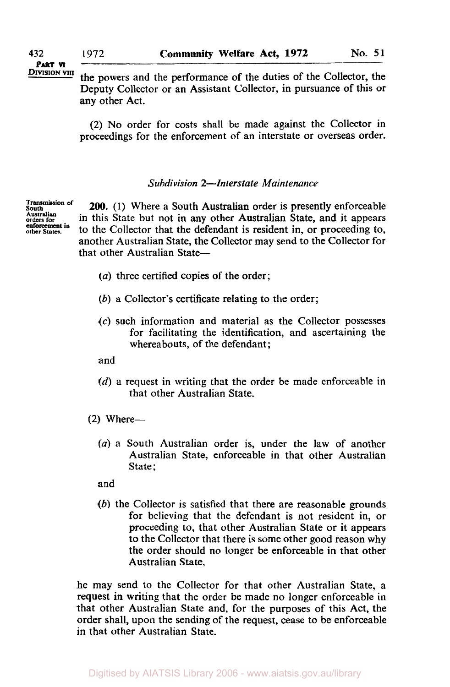# **PART VI**

**EXIMION POWERS 19 THE POWERS AND THE PERFORMANCE OF THE UP IN THE UP THE UP THE POST OF THE PROPERTY THE PROPERTY THE POWER 8 THE POWER 8 THE POWER 8 THE POWER 8 THE POWER 8 THE POWER 9 THE POWER 9 THE POWER 9 THE POWER 9** Deputy Collector or an Assistant Collector, in pursuance of this or any other Act.

> *(2)* No order for costs shall be made against the Collector in proceedings for the enforcement of an interstate or overseas order.

## *Subdivision 2-Interstate Maintenance*

**Transmission of South Australian enforcement in orders for other States.** 

*200.* (1) Where a South Australian order is presently enforceable in this State but not in any other Australian State, and it appears to the Collector that the defendant is resident in, or proceeding to, another Australian State, the Collector may send to the Collector for that other Australian State-

- *(a)* three certified copies of the order;
- *(b)* a Collector's certificate relating to the order;
- *(c)* such information and material as the Collector possesses for facilitating the identification, and ascertaining the whereabouts, of the defendant;
- and
- (d) a request in writing that the order be made enforceable in that other Australian State.
- *(2)* Where-
	- *(a)* a South Australian order is, under the law of another Australian State, enforceable in that other Australian State;
	- and
	- *(b)* the Collector is satisfied that there are reasonable grounds for believing that the defendant is not resident in, or proceeding to, that other Australian State or it appears to the Collector that there is some other good reason why the order should no longer be enforceable in that other Australian State.

he may send to the Collector for that other Australian State, a request in writing that the order be made no longer enforceable in that other Australian State and, for the purposes of this Act, the order shall, upon the sending of the request, cease to be enforceable in that other Australian State.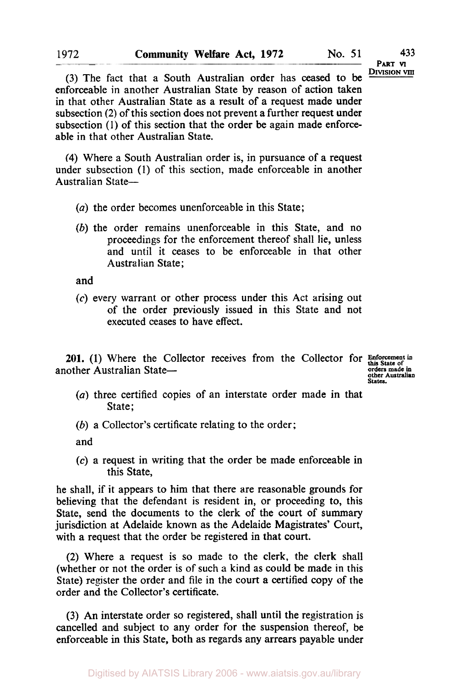**433 PART VI** 

(3) The fact that a South Australian order has ceased to be **DIVISION VIII** enforceable in another Australian State by reason of action taken in that other Australian State as a result of a request made under subsection (2) **of** this section does not prevent a further request under subsection (1) **of** this section that the order be again made enforceable in that other Australian State.

**(4)** Where a South Australian order is, in pursuance **of** a request under subsection (1) of this section, made enforceable in another Australian State-

- *(a)* the order becomes unenforceable in this State;
- *(b)* the order remains unenforceable in this State, and no proceedings for the enforcement thereof shall lie, unless and until it ceases to be enforceable in that other Australian State;

and

*(c)* every warrant or other process under this Act arising out of the order previously issued in this State and not executed ceases to have effect.

**201.** (1) Where the Collector receives from the Collector for Enforcement in the restrict of the State of the State of the State of  $\frac{1}{2}$ another Australian State-

**other Australian States.** 

- *(a)* three certified copies of an interstate order made in that State;
- *(b)* a Collector's certificate relating to the order;

and

*(c)* a request in writing that the order be made enforceable in this State,

he shall, if **it** appears to him that there are reasonable grounds for believing that the defendant is resident in, or proceeding to, this State, send the documents to the clerk of the court of summary jurisdiction at Adelaide known as **the** Adelaide Magistrates' **Court,**  with a request that the order be registered in that court.

**(2)** Where a request is so made to the clerk, the clerk shall (whether or not the order **is** of such **a** kind as could be made in this State) register the order and file in the court a certified copy of the order and the Collector's certificate.

**(3)** An interstate order so registered, shall until the registration is cancelled and subject to any order **for** the suspension thereof, be enforceable in this State, both as regards any arrears payable under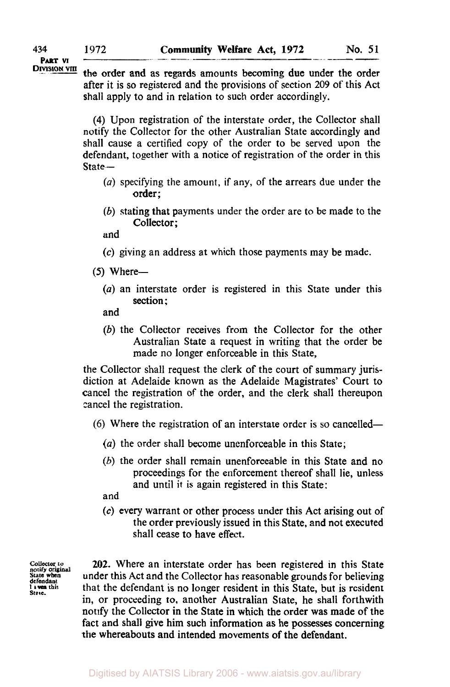**PART VI** 

**DIVISION VIII** the order and as regards amounts becoming due under the order after it is so registered and the provisions of section 209 of this Act shall apply to and in relation to such order accordingly.

> **(4)** Upon registration of the interstate order, the Collector shall notify the Collector for the other Australian State accordingly and shall cause a certified copy of the order to be served upon the defendant, together with a notice of registration of the order in this State-

- *(a)* specifying the amount, if any, of the arrears due under the order;
- (b) stating that payments under the order are to be made to the Collector;

and

- *(c)* giving an address at which those payments may be made.
- *(5)* Where-
	- *(a)* an interstate order is registered in this State under this section :
	- and
	- (b) the Collector receives from the Collector for the other Australian State a request in writing that the order be made no longer enforceable in this State,

the Collector shall request the clerk of the court of summary jurisdiction at Adelaide known as the Adelaide Magistrates' Court to cancel the registration of the order, and the clerk shall thereupon cancel the registration.

- $(6)$  Where the registration of an interstate order is so cancelled-
	- *(a)* the order shall become unenforceable in this State;
	- (b) the order shall remain unenforceable in this State and no proceedings for the enforcement thereof shall lie, unless and until it is again registered in this State:

and

*(c)* every warrant or other process under this Act arising out of the order previously issued in this State, and not executed shall cease to have effect.

**collector** *to*  **notify original State when defendant I this**  State.

**202.** Where an interstate order has been registered in this State under this Act and the Collector has reasonable grounds for believing that the defendant is no longer resident in this State, but is resident in, or proceeding **to,** another Australian State, he shall forthwith notify the Collector in the State in which the order was made of the fact and shall give him such information as he possesses concerning the whereabouts and intended movements of the defendant.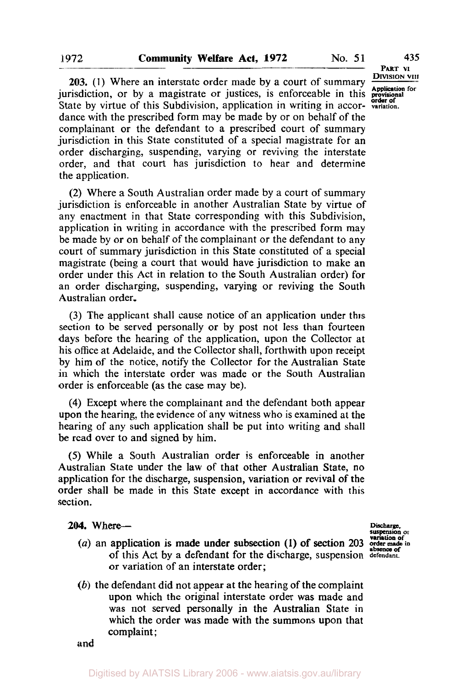**203.** (1) Where an interstate order made by a court of summary **Application** for risdiction, or by a magistrate or justices, is enforceable in this **proprimediate** by virtue of this Subdivision, application in writing in **jurisdiction**, or by a magistrate or justices, is enforceable in this State by virtue of this Subdivision, application in writing in accordance with the prescribed form may be made by or on behalf of the complainant or the defendant to a prescribed court of summary jurisdiction in this State constituted of a special magistrate for an order discharging, suspending, varying or reviving the interstate order, and that court has jurisdiction to hear and determine

(2) Where a South Australian order made by a court of summary jurisdiction is enforceable in another Australian State by virtue **of**  any enactment in that State corresponding with this Subdivision, application in writing in accordance with the prescribed form may be made by or on behalf of the complainant or the defendant to any court of summary jurisdiction in this State constituted of a special magistrate (being a court that would have jurisdiction to make an order under this Act in relation to the South Australian order) for an order discharging, suspending, varying or reviving the South Australian order.

**(3)** The applicant shall cause notice of an application under this section to be served personally or by post not less than fourteen days before the hearing of the application, upon the Collector at his office at Adelaide, and the Collector shall, forthwith upon receipt by him of the notice, notify the Collector for the Australian State in which the interstate order was made or the South Australian order is enforceable (as the case may be).

**(4)** Except where the complainant and the defendant both appear upon the hearing, the evidence of any witness who is examined at the hearing of any such application shall be put into writing and shall be read over to and signed by him.

*(5)* While a South Australian order **is** enforceable in another Australian State under the law of that other Australian State, no application for the discharge, suspension, variation or revival of the order shall be made in this State except in accordance with this section.

#### *204.* Where-

- of this Act by a defendant for the discharge, suspension defendant. or variation of an interstate order;  $(a)$  an application is made under subsection  $(1)$  of section 203
- *(b)* the defendant did not appear at the hearing of the complaint upon which the original interstate order was made and was not served personally in the Australian State in which the order was made with the summons upon that complaint;

and

**PART VI** 

**Discharge. suspension or variation of** 

the application.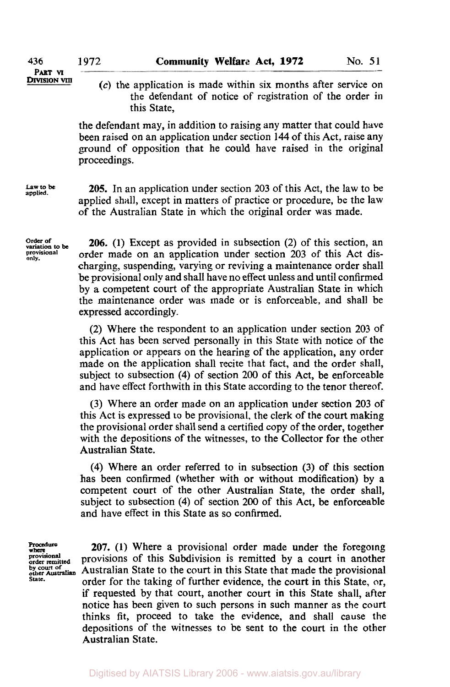- **DIVISION VIII**
- (c) the application is made within six months after service on the defendant of notice of registration of the order in this State,

the defendant may, in addition to raising any matter that could have been raised on an application under section 144 of this Act, raise any ground of opposition that he could have raised in the original proceedings.

**Law to be applied.** 

**205.** In an application under section **203** of this Act, the law to be applied shall, except in matters of practice or procedure, be the law of the Australian State in which the original order was made.

**Order of variation to be provisional only.** 

*206.* (1) Except as provided in subsection **(2)** of this section, an order made on an application under section **203** of this Act discharging, suspending, varying or reviving a maintenance order shall be provisional only and shall have no effect unless and until confirmed by a competent court of the appropriate Australian State in which the maintenance order was made or is enforceable, and shall be expressed accordingly.

**(2)** Where the respondent to an application under section 203 of this Act has been served personally in this State with notice of the application or appears on the hearing of the application, any order made on the application shall recite that fact, and the order shall, subject to subsection **(4)** of section 200 of this Act, be enforceable and have effect forthwith in this State according to the tenor thereof.

**(3)** Where an order made on an application under section 203 of this Act is expressed to be provisional, the clerk of the court making the provisional order shall send a certified copy of the order, together with the depositions of the witnesses, to the Collector for the other Australian State.

**(4)** Where an order referred to in subsection (3) of this section has been confirmed (whether with or without modification) by a competent court of the other Australian State, the order shall, subject to subsection **(4)** of section 200 of this Act, be enforceable and have effect in this State as so confirmed.

**Procedure where provisional order remitted by court of other Australian State.** 

**207. (1)** Where a provisional order made under the foregoing provisions of this Subdivision is remitted by a court in another Australian State to the court in this State that made the provisional order for the taking of further evidence, the court in this State, or, if requested by that court, another court in this State shall, after notice has been given **to** such persons in such manner as the court thinks fit, proceed to take the evidence, and shall cause the depositions of the witnesses to be sent to the court in the other Australian State.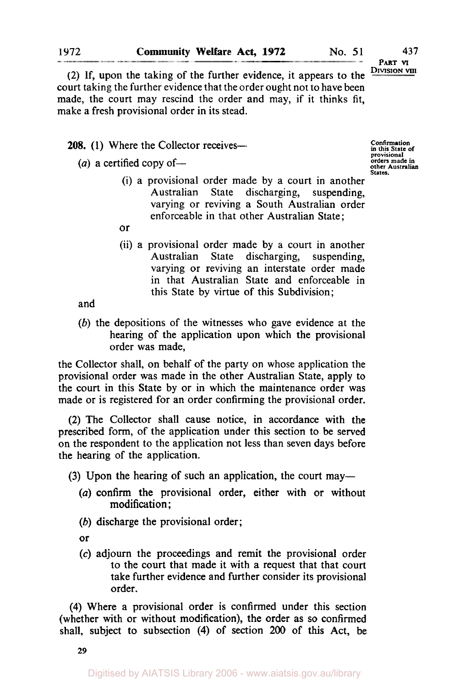**43 7 PART VI DIVISION VIII** 

(2) If, upon the taking of the further evidence, it appears to the court taking the further evidence that the order ought not to have been made, the court may rescind the order and may, if it thinks fit, make a fresh provisional order in its stead.

**208.** (1) Where the Collector receives-

 $(a)$  a certified copy of-

**Confirmation in this State of provisional orders made in other Australian States.** 

- (i) a provisional order made by a court in another Australian State discharging, suspending, varying or reviving a South Australian order enforceable in that other Australian State;
- or
- (ii) a provisional order made by a court in another Australian State discharging, suspending, varying or reviving an interstate order made in that Australian State and enforceable in this State by virtue of this Subdivision;

and

(b) the depositions of the witnesses who gave evidence at the hearing of the application upon which the provisional order was made,

the Collector shall, on behalf of the party on whose application the provisional order was made in the other Australian State, apply to the court in this State by or in which the maintenance order was made or is registered for an order confirming the provisional order.

(2) The Collector shall cause notice, in accordance with the prescribed form, of the application under this section to be served on the respondent to the application not less than seven days before the hearing of the application.

(3) Upon the hearing of such an application, the court may-

- *(a)* confirm the provisional order, either with or without modification ;
- *(b)* discharge the provisional order;

or

*(c)* adjourn the proceedings and remit the provisional order to the court that made it with a request that that court take further evidence and further consider its provisional order.

**(4)** Where a provisional order is confirmed under this section (whether with or without modification), the order as so confirmed shall, subject to subsection **(4)** of section 200 of this Act, be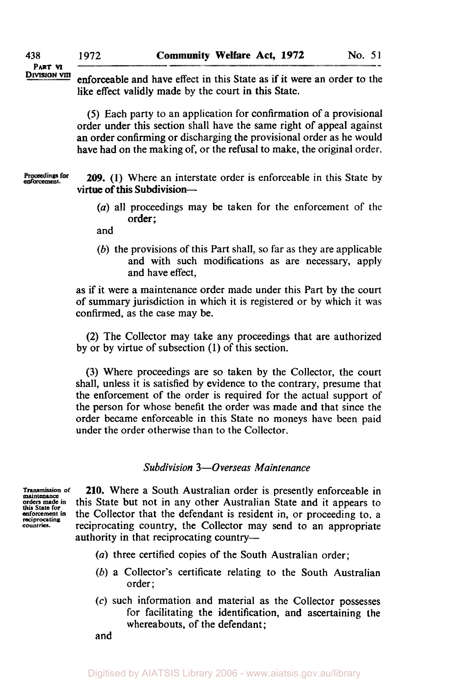enforceable and have effect in this State as if it were an order to the like effect validly made by the court in this State.

*(5)* Each party to an application for confirmation of a provisional order under this section shall have the same right of appeal against an order confirming or discharging the provisional order as he would have had on the making of, or the refusal to make, the original order.

Proceedings for<br>enforcement. **209. (1)** Where an interstate order is enforceable in this State by virtue of this Subdivision-

> *(a)* all proceedings may be taken for the enforcement of the order ;

and

*(6)* the provisions of this Part shall, so far as they are applicable and with such modifications as are necessary, apply and have effect,

as if it were a maintenance order made under this Part by the court of summary jurisdiction in which it is registered or by which it was confirmed, as the case may be.

(2) The Collector may take any proceedings that are authorized by or by virtue of subsection **(1)** of this section.

*(3)* Where proceedings are so taken by the Collector, the court shall, unless it is satisfied by evidence to the contrary, presume that the enforcement of the order is required for the actual support of the person for whose benefit the order was made and that since the order became enforceable in this State no moneys have been paid under the order otherwise than to the Collector.

### *Subdivision 3-Overseas Maintenance*

**Transmission of maintanance orders made in**  this **State for enforcement in reciprocating countries.** 

**210.** Where a South Australian order is presently enforceable in this State but not in any other Australian State and it appears to the Collector that the defendant is resident in, or proceeding to. a reciprocating country, the Collector may send to an appropriate authority in that reciprocating country-

- *(a)* three certified copies of the South Australian order;
- *(b)* **a** Collector's certificate relating to the South Australian order;
- **(c)** such information and material as the Collector possesses for facilitating the identification, and ascertaining the whereabouts, of the defendant;

and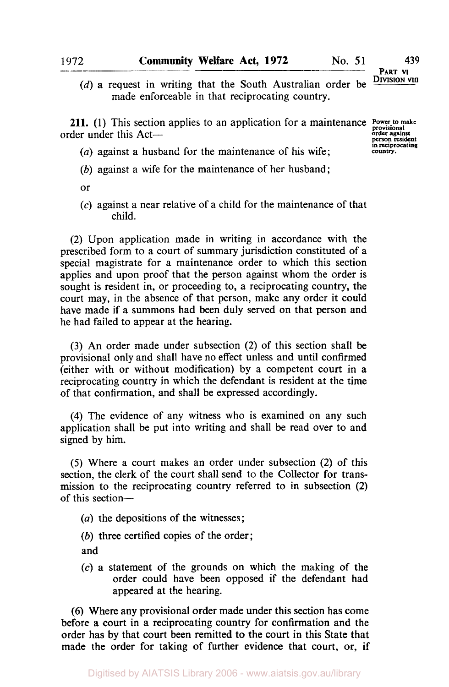(d) a request in writing that the South Australian order be made enforceable in that reciprocating country.

**211.** (1) This section applies to an application for a maintenance **Power to make** order under this Act-

**order against person resident in reciprocating country.** 

- *(a)* against a husband for the maintenance of his wife;
- *(b)* against a wife for the maintenance of her husband;
- or
- **(c)** against a near relative of a child for the maintenance of that child.

(2) Upon application made in writing in accordance with the prescribed form to a court of summary jurisdiction constituted of a special magistrate for a maintenance order to which this section applies and upon proof that the person against whom the order is sought is resident in, or proceeding to, a reciprocating country, the court may, in the absence of that person, make any order it could have made if a summons had been duly served on that person and he had failed to appear at the hearing.

**(3)** An order made under subsection (2) of this section shall be provisional only and shall have no effect unless and until confirmed (either with or without modification) by a competent court in a reciprocating country in which the defendant is resident at the time of that confirmation, and shall be expressed accordingly.

**(4)** The evidence of any witness who is examined on any such application shall be put into writing and shall be read over to and signed by him.

*(5)* Where a court makes an order under subsection (2) of this section, the clerk of the court shall send to the Collector for transmission to the reciprocating country referred to in subsection **(2)**  of this section-

- *(a)* the depositions of the witnesses;
- *(b)* three certified copies of the order;

and

*(c)* a statement of the grounds on which the making of the order could have been opposed if the defendant had appeared at the hearing.

(6) Where any provisional order made under this section has come before a court in a reciprocating country for confirmation and the order has by that court been remitted to the court **in** this State that made the order for taking of further evidence that court, or, if

1972